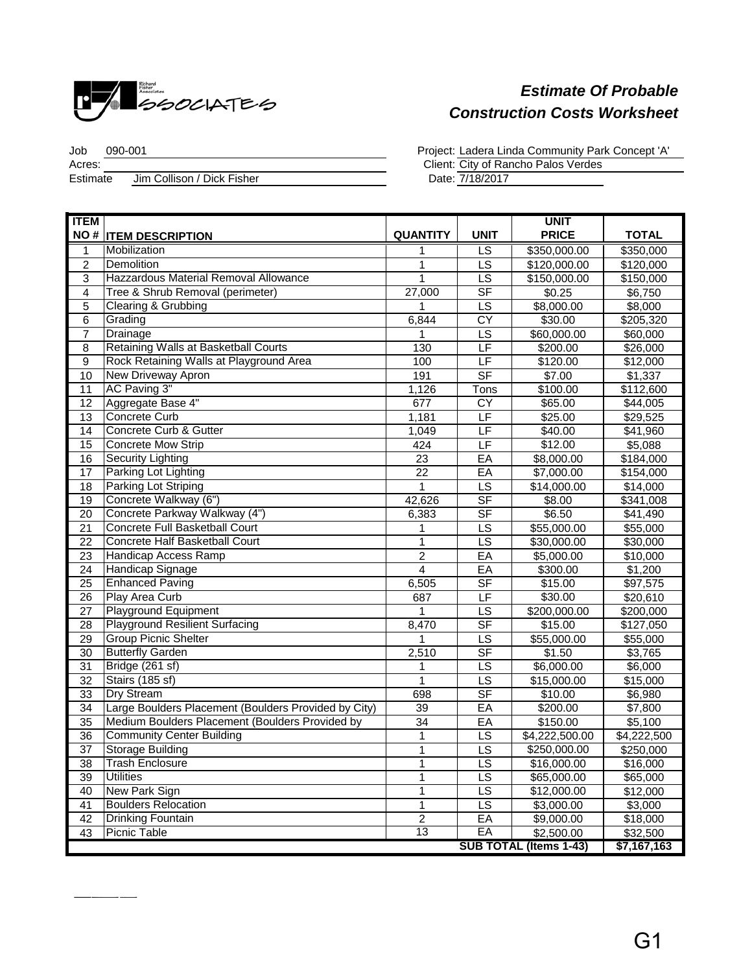

 $\overline{a}$ 

## *Estimate Of Probable Construction Costs Worksheet*

Job 090-001 Acres: Client: Jim Collison / Dick Fisher **Estimate** 

Project: Ladera Linda Community Park Concept 'A'

City of Rancho Palos Verdes

7/18/2017

| <b>ITEM</b>                   |                                                      |                 |                          | <b>UNIT</b>    |              |
|-------------------------------|------------------------------------------------------|-----------------|--------------------------|----------------|--------------|
|                               | <b>NO # ITEM DESCRIPTION</b>                         | <b>QUANTITY</b> | <b>UNIT</b>              | <b>PRICE</b>   | <b>TOTAL</b> |
| 1                             | Mobilization                                         | 1               | $\overline{\mathsf{LS}}$ | \$350,000.00   | \$350,000    |
| $\overline{2}$                | Demolition                                           | 1               | LS                       | \$120,000.00   | \$120,000    |
| $\overline{3}$                | Hazzardous Material Removal Allowance                | 1               | $\overline{\text{LS}}$   | \$150,000.00   | \$150,000    |
| $\overline{4}$                | Tree & Shrub Removal (perimeter)                     | 27,000          | $S$ F                    | \$0.25         | \$6,750      |
| $\overline{5}$                | Clearing & Grubbing                                  | $\mathbf 1$     | $\overline{LS}$          | \$8,000.00     | \$8,000      |
| $\overline{6}$                | Grading                                              | 6,844           | CY                       | \$30.00        | \$205,320    |
| $\overline{7}$                | Drainage                                             | 1               | LS                       | \$60,000.00    | \$60,000     |
| $\overline{8}$                | Retaining Walls at Basketball Courts                 | 130             | LF                       | \$200.00       | \$26,000     |
| $\overline{9}$                | Rock Retaining Walls at Playground Area              | 100             | LF                       | \$120.00       | \$12,000     |
| 10                            | <b>New Driveway Apron</b>                            | 191             | <b>SF</b>                | \$7.00         | \$1,337      |
| 11                            | AC Paving 3"                                         | 1,126           | Tons                     | \$100.00       | \$112,600    |
| 12                            | Aggregate Base 4"                                    | 677             | <b>CY</b>                | \$65.00        | \$44,005     |
| $\overline{13}$               | Concrete Curb                                        | 1,181           | LF                       | \$25.00        | \$29,525     |
| 14                            | Concrete Curb & Gutter                               | 1,049           | LF                       | \$40.00        | \$41,960     |
| 15                            | <b>Concrete Mow Strip</b>                            | 424             | $\overline{\mathsf{LF}}$ | \$12.00        | \$5,088      |
| 16                            | <b>Security Lighting</b>                             | $\overline{23}$ | EA                       | \$8,000.00     | \$184,000    |
| $\overline{17}$               | Parking Lot Lighting                                 | $\overline{22}$ | EA                       | \$7,000.00     | \$154,000    |
| $\overline{18}$               | Parking Lot Striping                                 | $\mathbf{1}$    | $\overline{LS}$          | \$14,000.00    | \$14,000     |
| 19                            | Concrete Walkway (6")                                | 42,626          | SF                       | \$8.00         | \$341,008    |
| $\overline{20}$               | Concrete Parkway Walkway (4")                        | 6,383           | SF                       | \$6.50         | \$41,490     |
| $\overline{21}$               | Concrete Full Basketball Court                       | 1               | LS                       | \$55,000.00    | \$55,000     |
| $\overline{22}$               | Concrete Half Basketball Court                       | $\overline{1}$  | LS                       | \$30,000.00    | \$30,000     |
| $\overline{23}$               | Handicap Access Ramp                                 | $\overline{2}$  | EA                       | \$5,000.00     | \$10,000     |
| $\overline{24}$               | Handicap Signage                                     | $\overline{4}$  | EA                       | \$300.00       | \$1,200      |
| $\overline{25}$               | <b>Enhanced Paving</b>                               | 6,505           | SF                       | \$15.00        | \$97,575     |
| 26                            | Play Area Curb                                       | 687             | $\overline{\mathsf{LF}}$ | \$30.00        | \$20,610     |
| $\overline{27}$               | <b>Playground Equipment</b>                          | $\mathbf{1}$    | LS                       | \$200,000.00   | \$200,000    |
| $\overline{28}$               | <b>Playground Resilient Surfacing</b>                | 8,470           | <b>SF</b>                | \$15.00        | \$127,050    |
| $\overline{29}$               | <b>Group Picnic Shelter</b>                          | 1               | LS                       | \$55,000.00    | \$55,000     |
| 30                            | <b>Butterfly Garden</b>                              | 2,510           | <b>SF</b>                | \$1.50         | \$3,765      |
| $\overline{31}$               | Bridge (261 sf)                                      | 1               | $\overline{LS}$          | \$6,000.00     | \$6,000      |
| 32                            | Stairs (185 sf)                                      | 1               | <b>LS</b>                | \$15,000.00    | \$15,000     |
| 33                            | <b>Dry Stream</b>                                    | 698             | $S$ F                    | \$10.00        | \$6,980      |
| 34                            | Large Boulders Placement (Boulders Provided by City) | 39              | EA                       | \$200.00       | \$7,800      |
| $\overline{35}$               | Medium Boulders Placement (Boulders Provided by      | $\overline{34}$ | EA                       | \$150.00       | \$5,100      |
| $\overline{36}$               | <b>Community Center Building</b>                     | 1               | $\overline{\mathsf{LS}}$ | \$4,222,500.00 | \$4,222,500  |
| $\overline{37}$               | <b>Storage Building</b>                              | $\mathbf{1}$    | LS                       | \$250,000.00   | \$250,000    |
| 38                            | <b>Trash Enclosure</b>                               | $\mathbf{1}$    | $\overline{\text{LS}}$   | \$16,000.00    | \$16,000     |
| 39                            | <b>Utilities</b>                                     | 1               | LS                       | \$65,000.00    | \$65,000     |
| 40                            | New Park Sign                                        | $\mathbf{1}$    | $\overline{\text{LS}}$   | \$12,000.00    | \$12,000     |
| 41                            | <b>Boulders Relocation</b>                           | 1               | $\overline{LS}$          | \$3,000.00     | \$3,000      |
| 42                            | <b>Drinking Fountain</b>                             | $\overline{2}$  | EA                       | \$9,000.00     | \$18,000     |
| 43                            | <b>Picnic Table</b>                                  | 13              | EA                       | \$2,500.00     | \$32,500     |
| <b>SUB TOTAL (Items 1-43)</b> |                                                      |                 |                          |                | \$7,167,163  |